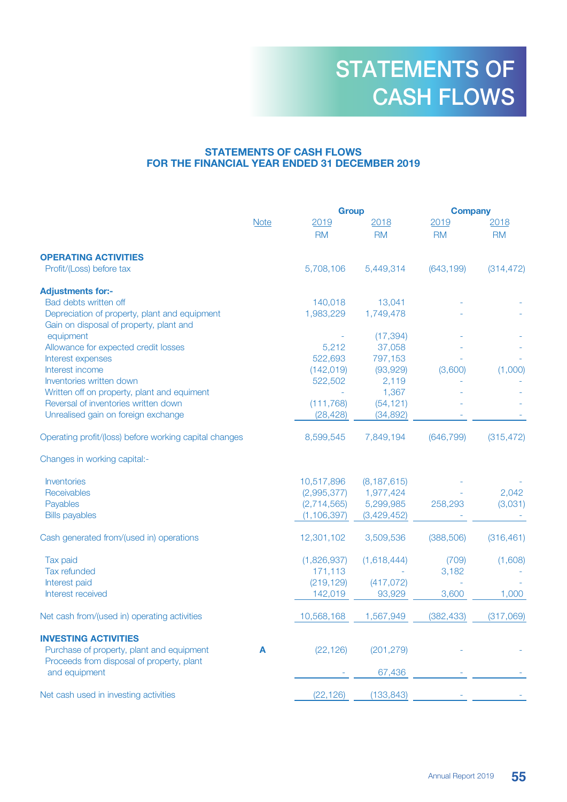# STATEMENTS OF CASH FLOWS FOR THE FINANCIAL YEAR ENDED 31 DECEMBER 2019

|                                                                                          |             |               | <b>Group</b>  |            | <b>Company</b> |  |
|------------------------------------------------------------------------------------------|-------------|---------------|---------------|------------|----------------|--|
|                                                                                          | <b>Note</b> | 2019          | 2018          | 2019       | 2018           |  |
|                                                                                          |             | <b>RM</b>     | <b>RM</b>     | <b>RM</b>  | <b>RM</b>      |  |
| <b>OPERATING ACTIVITIES</b>                                                              |             |               |               |            |                |  |
| Profit/(Loss) before tax                                                                 |             | 5,708,106     | 5,449,314     | (643, 199) | (314, 472)     |  |
| <b>Adjustments for:-</b>                                                                 |             |               |               |            |                |  |
| Bad debts written off                                                                    |             | 140,018       | 13,041        |            |                |  |
| Depreciation of property, plant and equipment<br>Gain on disposal of property, plant and |             | 1,983,229     | 1,749,478     |            |                |  |
| equipment                                                                                |             |               | (17, 394)     |            |                |  |
| Allowance for expected credit losses                                                     |             | 5,212         | 37,058        |            |                |  |
| Interest expenses                                                                        |             | 522,693       | 797,153       |            |                |  |
| Interest income                                                                          |             | (142, 019)    | (93, 929)     | (3,600)    | (1,000)        |  |
| Inventories written down                                                                 |             | 522,502       | 2,119         |            |                |  |
| Written off on property, plant and equiment                                              |             |               | 1,367         |            |                |  |
| Reversal of inventories written down                                                     |             | (111, 768)    | (54, 121)     |            |                |  |
| Unrealised gain on foreign exchange                                                      |             | (28, 428)     | (34, 892)     |            |                |  |
| Operating profit/(loss) before working capital changes                                   |             | 8,599,545     | 7,849,194     | (646, 799) | (315, 472)     |  |
| Changes in working capital:-                                                             |             |               |               |            |                |  |
| <b>Inventories</b>                                                                       |             | 10,517,896    | (8, 187, 615) |            |                |  |
| Receivables                                                                              |             | (2,995,377)   | 1,977,424     |            | 2,042          |  |
| Payables                                                                                 |             | (2,714,565)   | 5,299,985     | 258,293    | (3,031)        |  |
| <b>Bills payables</b>                                                                    |             | (1, 106, 397) | (3,429,452)   |            |                |  |
| Cash generated from/(used in) operations                                                 |             | 12,301,102    | 3,509,536     | (388, 506) | (316, 461)     |  |
| Tax paid                                                                                 |             | (1,826,937)   | (1,618,444)   | (709)      | (1,608)        |  |
| Tax refunded                                                                             |             | 171,113       |               | 3,182      |                |  |
| Interest paid                                                                            |             | (219, 129)    | (417, 072)    |            |                |  |
| Interest received                                                                        |             | 142,019       | 93,929        | 3,600      | 1,000          |  |
| Net cash from/(used in) operating activities                                             |             | 10,568,168    | 1,567,949     | (382, 433) | (317,069)      |  |
| <b>INVESTING ACTIVITIES</b>                                                              |             |               |               |            |                |  |
| Purchase of property, plant and equipment                                                | A           | (22, 126)     | (201, 279)    |            |                |  |
| Proceeds from disposal of property, plant                                                |             |               |               |            |                |  |
| and equipment                                                                            |             |               | 67,436        |            |                |  |
| Net cash used in investing activities                                                    |             | (22, 126)     | (133, 843)    |            |                |  |
|                                                                                          |             |               |               |            |                |  |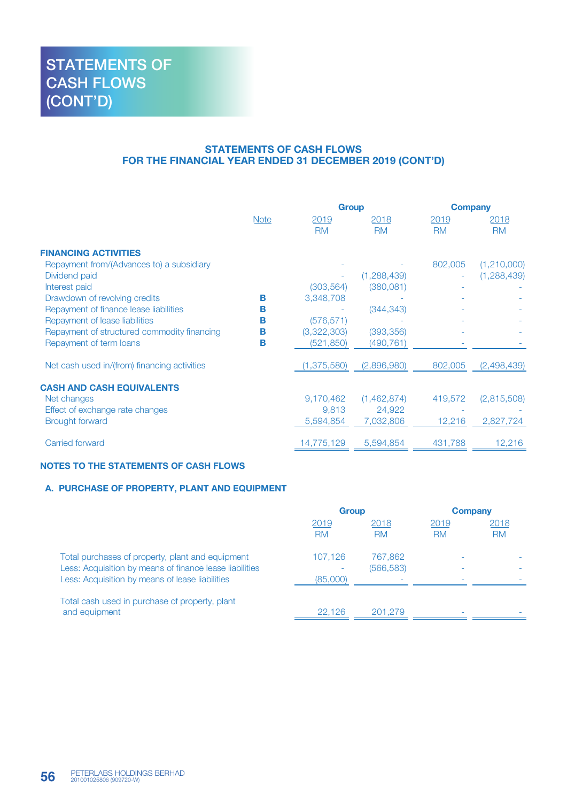## STATEMENTS OF CASH FLOWS FOR THE FINANCIAL YEAR ENDED 31 DECEMBER 2019 (CONT'D)

|                                              |             | <b>Group</b>      |                   | <b>Company</b>    |                   |
|----------------------------------------------|-------------|-------------------|-------------------|-------------------|-------------------|
|                                              | <b>Note</b> | 2019<br><b>RM</b> | 2018<br><b>RM</b> | 2019<br><b>RM</b> | 2018<br><b>RM</b> |
| <b>FINANCING ACTIVITIES</b>                  |             |                   |                   |                   |                   |
| Repayment from/(Advances to) a subsidiary    |             |                   |                   | 802,005           | (1,210,000)       |
| Dividend paid                                |             |                   | (1,288,439)       |                   | (1, 288, 439)     |
| Interest paid                                |             | (303, 564)        | (380, 081)        |                   |                   |
| Drawdown of revolving credits                | в           | 3,348,708         |                   |                   |                   |
| Repayment of finance lease liabilities       | в           |                   | (344, 343)        |                   |                   |
| Repayment of lease liabilities               | в           | (576, 571)        |                   |                   |                   |
| Repayment of structured commodity financing  | в           | (3,322,303)       | (393, 356)        |                   |                   |
| Repayment of term loans                      | в           | (521, 850)        | (490,761)         |                   |                   |
| Net cash used in/(from) financing activities |             | (1,375,580)       | (2,896,980)       | 802,005           | (2,498,439)       |
| <b>CASH AND CASH EQUIVALENTS</b>             |             |                   |                   |                   |                   |
| Net changes                                  |             | 9,170,462         | (1,462,874)       | 419,572           | (2,815,508)       |
| Effect of exchange rate changes              |             | 9.813             | 24,922            |                   |                   |
| <b>Brought forward</b>                       |             | 5,594,854         | 7,032,806         | 12,216            | 2,827,724         |
| Carried forward                              |             | 14,775,129        | 5,594,854         | 431,788           | 12,216            |

#### NOTES TO THE STATEMENTS OF CASH FLOWS

### A. PURCHASE OF PROPERTY, PLANT AND EQUIPMENT

|                                                                                                                                                                | <b>Group</b>             |                       | Company                  |                   |
|----------------------------------------------------------------------------------------------------------------------------------------------------------------|--------------------------|-----------------------|--------------------------|-------------------|
|                                                                                                                                                                | 2019<br><b>RM</b>        | 2018<br><b>RM</b>     | 2019<br><b>RM</b>        | 2018<br><b>RM</b> |
| Total purchases of property, plant and equipment<br>Less: Acquisition by means of finance lease liabilities<br>Less: Acquisition by means of lease liabilities | 107.126<br>۰<br>(85,000) | 767,862<br>(566, 583) |                          |                   |
| Total cash used in purchase of property, plant<br>and equipment                                                                                                | 22.126                   | 201.279               | $\overline{\phantom{a}}$ |                   |